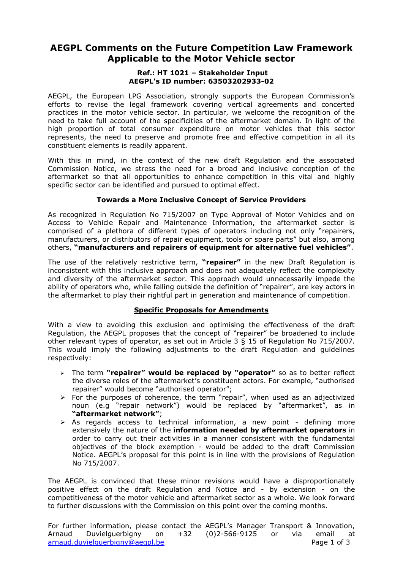# **AEGPL Comments on the Future Competition Law Framework Applicable to the Motor Vehicle sector**

#### **Ref.: HT 1021 – Stakeholder Input AEGPL's ID number: 63503202933-02**

AEGPL, the European LPG Association, strongly supports the European Commission"s efforts to revise the legal framework covering vertical agreements and concerted practices in the motor vehicle sector. In particular, we welcome the recognition of the need to take full account of the specificities of the aftermarket domain. In light of the high proportion of total consumer expenditure on motor vehicles that this sector represents, the need to preserve and promote free and effective competition in all its constituent elements is readily apparent.

With this in mind, in the context of the new draft Regulation and the associated Commission Notice, we stress the need for a broad and inclusive conception of the aftermarket so that all opportunities to enhance competition in this vital and highly specific sector can be identified and pursued to optimal effect.

## **Towards a More Inclusive Concept of Service Providers**

As recognized in Regulation No 715/2007 on Type Approval of Motor Vehicles and on Access to Vehicle Repair and Maintenance Information, the aftermarket sector is comprised of a plethora of different types of operators including not only "repairers, manufacturers, or distributors of repair equipment, tools or spare parts" but also, among others, **"manufacturers and repairers of equipment for alternative fuel vehicles"**.

The use of the relatively restrictive term, **"repairer"** in the new Draft Regulation is inconsistent with this inclusive approach and does not adequately reflect the complexity and diversity of the aftermarket sector. This approach would unnecessarily impede the ability of operators who, while falling outside the definition of "repairer", are key actors in the aftermarket to play their rightful part in generation and maintenance of competition.

# **Specific Proposals for Amendments**

With a view to avoiding this exclusion and optimising the effectiveness of the draft Regulation, the AEGPL proposes that the concept of "repairer" be broadened to include other relevant types of operator, as set out in Article 3 § 15 of Regulation No 715/2007. This would imply the following adjustments to the draft Regulation and guidelines respectively:

- The term **"repairer" would be replaced by "operator"** so as to better reflect the diverse roles of the aftermarket's constituent actors. For example, "authorised repairer" would become "authorised operator";
- $\triangleright$  For the purposes of coherence, the term "repair", when used as an adjectivized noun (e.g "repair network") would be replaced by "aftermarket", as in **"aftermarket network"**;
- $\triangleright$  As regards access to technical information, a new point defining more extensively the nature of the **information needed by aftermarket operators** in order to carry out their activities in a manner consistent with the fundamental objectives of the block exemption - would be added to the draft Commission Notice. AEGPL"s proposal for this point is in line with the provisions of Regulation No 715/2007.

The AEGPL is convinced that these minor revisions would have a disproportionately positive effect on the draft Regulation and Notice and - by extension - on the competitiveness of the motor vehicle and aftermarket sector as a whole. We look forward to further discussions with the Commission on this point over the coming months.

For further information, please contact the AEGPL"s Manager Transport & Innovation, Arnaud Duvielguerbigny on +32 (0)2-566-9125 or via email at arnaud.duvielguerbigny@aegpl.be Page 1 of 3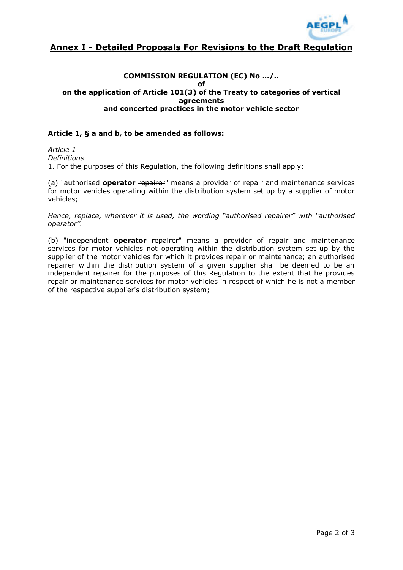

# **Annex I - Detailed Proposals For Revisions to the Draft Regulation**

### **COMMISSION REGULATION (EC) No …/.. of on the application of Article 101(3) of the Treaty to categories of vertical agreements and concerted practices in the motor vehicle sector**

### **Article 1, § a and b, to be amended as follows:**

*Article 1 Definitions*  1. For the purposes of this Regulation, the following definitions shall apply:

(a) "authorised **operator** repairer" means a provider of repair and maintenance services for motor vehicles operating within the distribution system set up by a supplier of motor vehicles;

*Hence, replace, wherever it is used, the wording "authorised repairer" with "authorised operator".*

(b) "independent **operator** repairer" means a provider of repair and maintenance services for motor vehicles not operating within the distribution system set up by the supplier of the motor vehicles for which it provides repair or maintenance; an authorised repairer within the distribution system of a given supplier shall be deemed to be an independent repairer for the purposes of this Regulation to the extent that he provides repair or maintenance services for motor vehicles in respect of which he is not a member of the respective supplier's distribution system;